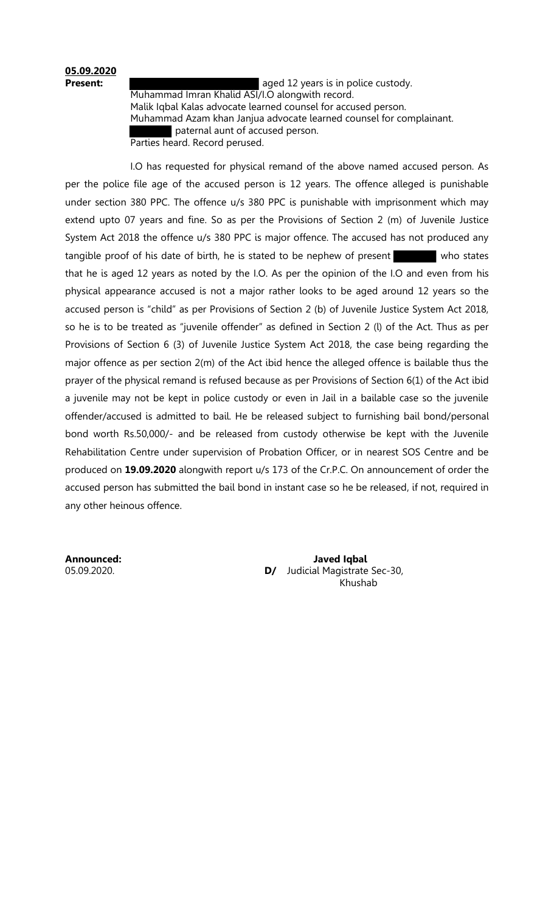## **05.09.2020**

**Present: Present: Present: aged 12 years is in police custody.**  Muhammad Imran Khalid ASI/I.O alongwith record. Malik Iqbal Kalas advocate learned counsel for accused person. Muhammad Azam khan Janjua advocate learned counsel for complainant. paternal aunt of accused person. Parties heard. Record perused.

 I.O has requested for physical remand of the above named accused person. As per the police file age of the accused person is 12 years. The offence alleged is punishable under section 380 PPC. The offence u/s 380 PPC is punishable with imprisonment which may extend upto 07 years and fine. So as per the Provisions of Section 2 (m) of Juvenile Justice System Act 2018 the offence u/s 380 PPC is major offence. The accused has not produced any tangible proof of his date of birth, he is stated to be nephew of present who states that he is aged 12 years as noted by the I.O. As per the opinion of the I.O and even from his physical appearance accused is not a major rather looks to be aged around 12 years so the accused person is "child" as per Provisions of Section 2 (b) of Juvenile Justice System Act 2018, so he is to be treated as "juvenile offender" as defined in Section 2 (l) of the Act. Thus as per Provisions of Section 6 (3) of Juvenile Justice System Act 2018, the case being regarding the major offence as per section 2(m) of the Act ibid hence the alleged offence is bailable thus the prayer of the physical remand is refused because as per Provisions of Section 6(1) of the Act ibid a juvenile may not be kept in police custody or even in Jail in a bailable case so the juvenile offender/accused is admitted to bail. He be released subject to furnishing bail bond/personal bond worth Rs.50,000/- and be released from custody otherwise be kept with the Juvenile Rehabilitation Centre under supervision of Probation Officer, or in nearest SOS Centre and be produced on **19.09.2020** alongwith report u/s 173 of the Cr.P.C. On announcement of order the accused person has submitted the bail bond in instant case so he be released, if not, required in any other heinous offence.

**Announced: Javed Iqbal**  05.09.2020. **D/** Judicial Magistrate Sec-30, Khushab